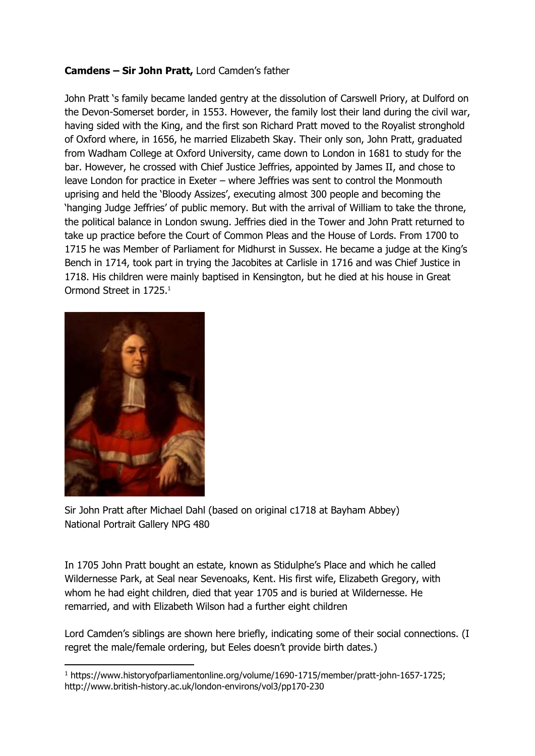## **Camdens – Sir John Pratt,** Lord Camden's father

John Pratt 's family became landed gentry at the dissolution of Carswell Priory, at Dulford on the Devon-Somerset border, in 1553. However, the family lost their land during the civil war, having sided with the King, and the first son Richard Pratt moved to the Royalist stronghold of Oxford where, in 1656, he married Elizabeth Skay. Their only son, John Pratt, graduated from Wadham College at Oxford University, came down to London in 1681 to study for the bar. However, he crossed with Chief Justice Jeffries, appointed by James II, and chose to leave London for practice in Exeter – where Jeffries was sent to control the Monmouth uprising and held the 'Bloody Assizes', executing almost 300 people and becoming the 'hanging Judge Jeffries' of public memory. But with the arrival of William to take the throne, the political balance in London swung. Jeffries died in the Tower and John Pratt returned to take up practice before the Court of Common Pleas and the House of Lords. From 1700 to 1715 he was Member of Parliament for Midhurst in Sussex. He became a judge at the King's Bench in 1714, took part in trying the Jacobites at Carlisle in 1716 and was Chief Justice in 1718. His children were mainly baptised in Kensington, but he died at his house in Great Ormond Street in 1725.<sup>1</sup>



-

Sir John Pratt after Michael Dahl (based on original c1718 at Bayham Abbey) National Portrait Gallery NPG 480

In 1705 John Pratt bought an estate, known as Stidulphe's Place and which he called Wildernesse Park, at Seal near Sevenoaks, Kent. His first wife, Elizabeth Gregory, with whom he had eight children, died that year 1705 and is buried at Wildernesse. He remarried, and with Elizabeth Wilson had a further eight children

Lord Camden's siblings are shown here briefly, indicating some of their social connections. (I regret the male/female ordering, but Eeles doesn't provide birth dates.)

<sup>1</sup> https://www.historyofparliamentonline.org/volume/1690-1715/member/pratt-john-1657-1725; http://www.british-history.ac.uk/london-environs/vol3/pp170-230